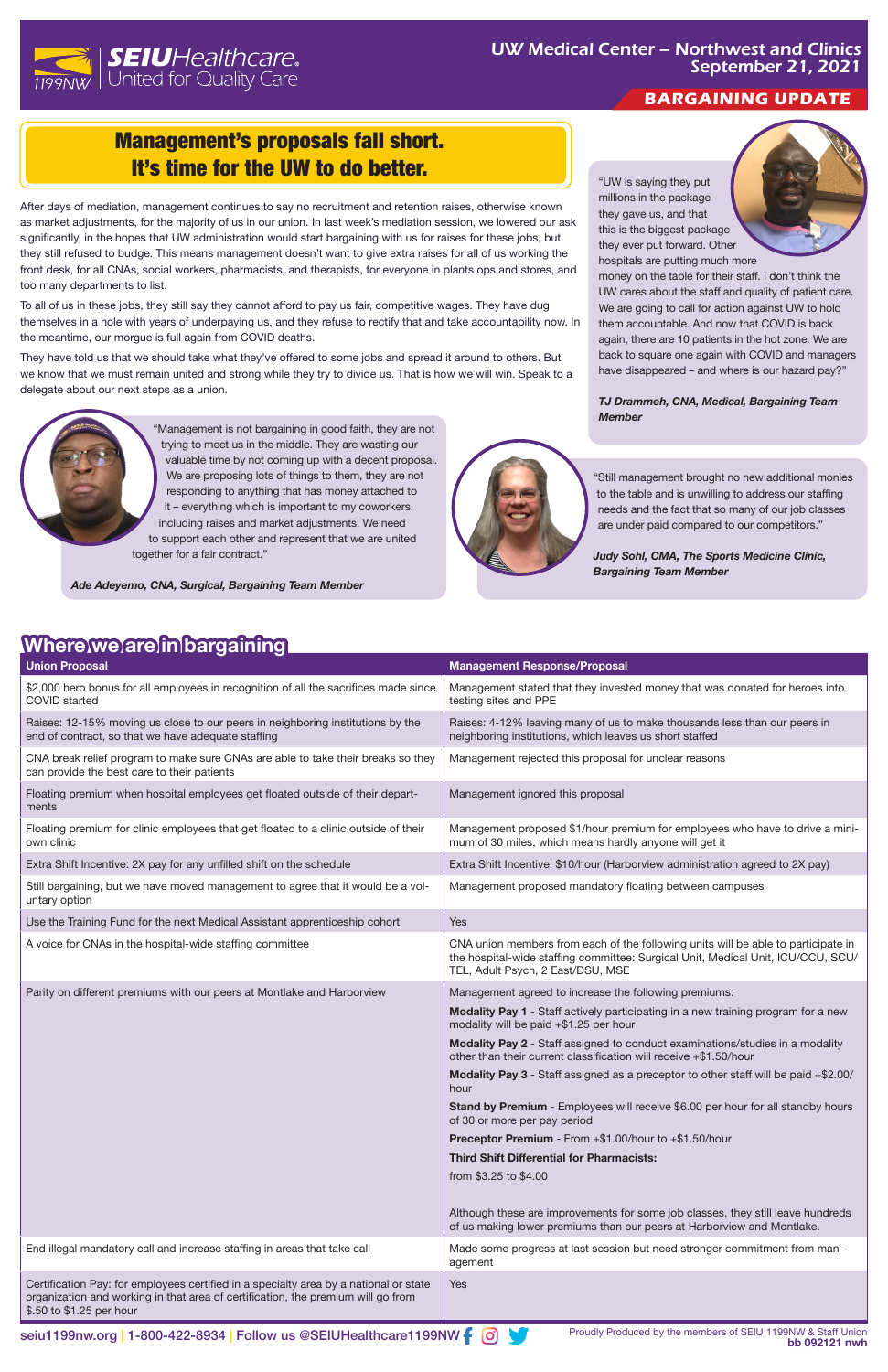# Management's proposals fall short. It's time for the UW to do better.



### **BARGAINING UPDATE**

After days of mediation, management continues to say no recruitment and retention raises, otherwise known as market adjustments, for the majority of us in our union. In last week's mediation session, we lowered our ask significantly, in the hopes that UW administration would start bargaining with us for raises for these jobs, but they still refused to budge. This means management doesn't want to give extra raises for all of us working the front desk, for all CNAs, social workers, pharmacists, and therapists, for everyone in plants ops and stores, and too many departments to list.

To all of us in these jobs, they still say they cannot afford to pay us fair, competitive wages. They have dug themselves in a hole with years of underpaying us, and they refuse to rectify that and take accountability now. In the meantime, our morgue is full again from COVID deaths.

They have told us that we should take what they've offered to some jobs and spread it around to others. But we know that we must remain united and strong while they try to divide us. That is how we will win. Speak to a delegate about our next steps as a union.



"Management is not bargaining in good faith, they are not trying to meet us in the middle. They are wasting our valuable time by not coming up with a decent proposal. We are proposing lots of things to them, they are not responding to anything that has money attached to it – everything which is important to my coworkers, including raises and market adjustments. We need to support each other and represent that we are united together for a fair contract."

*Ade Adeyemo, CNA, Surgical, Bargaining Team Member*



| <b>Union Proposal</b>                                                                                                                | <b>Management Response/Proposal</b>                                                                                                                                                                        |
|--------------------------------------------------------------------------------------------------------------------------------------|------------------------------------------------------------------------------------------------------------------------------------------------------------------------------------------------------------|
| \$2,000 hero bonus for all employees in recognition of all the sacrifices made since<br><b>COVID</b> started                         | Management stated that they invested money that was donated for heroes into<br>testing sites and PPE                                                                                                       |
| Raises: 12-15% moving us close to our peers in neighboring institutions by the<br>end of contract, so that we have adequate staffing | Raises: 4-12% leaving many of us to make thousands less than our peers in<br>neighboring institutions, which leaves us short staffed                                                                       |
| CNA break relief program to make sure CNAs are able to take their breaks so they<br>can provide the best care to their patients      | Management rejected this proposal for unclear reasons                                                                                                                                                      |
| Floating premium when hospital employees get floated outside of their depart-<br>ments                                               | Management ignored this proposal                                                                                                                                                                           |
| Floating premium for clinic employees that get floated to a clinic outside of their<br>own clinic                                    | Management proposed \$1/hour premium for employees who have to drive a mini-<br>mum of 30 miles, which means hardly anyone will get it                                                                     |
| Extra Shift Incentive: 2X pay for any unfilled shift on the schedule                                                                 | Extra Shift Incentive: \$10/hour (Harborview administration agreed to 2X pay)                                                                                                                              |
| Still bargaining, but we have moved management to agree that it would be a vol-<br>untary option                                     | Management proposed mandatory floating between campuses                                                                                                                                                    |
| Use the Training Fund for the next Medical Assistant apprenticeship cohort                                                           | <b>Yes</b>                                                                                                                                                                                                 |
| A voice for CNAs in the hospital-wide staffing committee                                                                             | CNA union members from each of the following units will be able to participate in<br>the hospital-wide staffing committee: Surgical Unit, Medical Unit, ICU/CCU, SCU/<br>TEL, Adult Psych, 2 East/DSU, MSE |
| Parity on different premiums with our peers at Montlake and Harborview                                                               | Management agreed to increase the following premiums:<br>Madelity Day of Chaff a study was the stress in a may be deliver we assess for a may be                                                           |

|                                                                                                                                                                                                       | <b>Modality Pay 1</b> - Staff actively participating in a new training program for a new<br>modality will be paid +\$1.25 per hour                        |
|-------------------------------------------------------------------------------------------------------------------------------------------------------------------------------------------------------|-----------------------------------------------------------------------------------------------------------------------------------------------------------|
|                                                                                                                                                                                                       | <b>Modality Pay 2</b> - Staff assigned to conduct examinations/studies in a modality<br>other than their current classification will receive +\$1.50/hour |
|                                                                                                                                                                                                       | Modality Pay 3 - Staff assigned as a preceptor to other staff will be paid +\$2.00/<br>hour                                                               |
|                                                                                                                                                                                                       | <b>Stand by Premium</b> - Employees will receive \$6.00 per hour for all standby hours<br>of 30 or more per pay period                                    |
|                                                                                                                                                                                                       | Preceptor Premium - From +\$1.00/hour to +\$1.50/hour                                                                                                     |
|                                                                                                                                                                                                       | <b>Third Shift Differential for Pharmacists:</b>                                                                                                          |
|                                                                                                                                                                                                       | from \$3.25 to \$4.00                                                                                                                                     |
|                                                                                                                                                                                                       | Although these are improvements for some job classes, they still leave hundreds<br>of us making lower premiums than our peers at Harborview and Montlake. |
| End illegal mandatory call and increase staffing in areas that take call                                                                                                                              | Made some progress at last session but need stronger commitment from man-<br>agement                                                                      |
| Certification Pay: for employees certified in a specialty area by a national or state<br>organization and working in that area of certification, the premium will go from<br>\$.50 to \$1.25 per hour | <b>Yes</b>                                                                                                                                                |

**book 1199nw.org | 1-800-422-8934 | Follow us @SEIUHealthcare1199NW**  $\uparrow$  **0** 

## **Where we are in bargaining**

"Still management brought no new additional monies to the table and is unwilling to address our staffing needs and the fact that so many of our job classes are under paid compared to our competitors."

*Judy Sohl, CMA, The Sports Medicine Clinic, Bargaining Team Member* 

"UW is saying they put millions in the package they gave us, and that this is the biggest package they ever put forward. Other hospitals are putting much more



money on the table for their staff. I don't think the UW cares about the staff and quality of patient care. We are going to call for action against UW to hold them accountable. And now that COVID is back again, there are 10 patients in the hot zone. We are back to square one again with COVID and managers have disappeared – and where is our hazard pay?"

*TJ Drammeh, CNA, Medical, Bargaining Team Member*